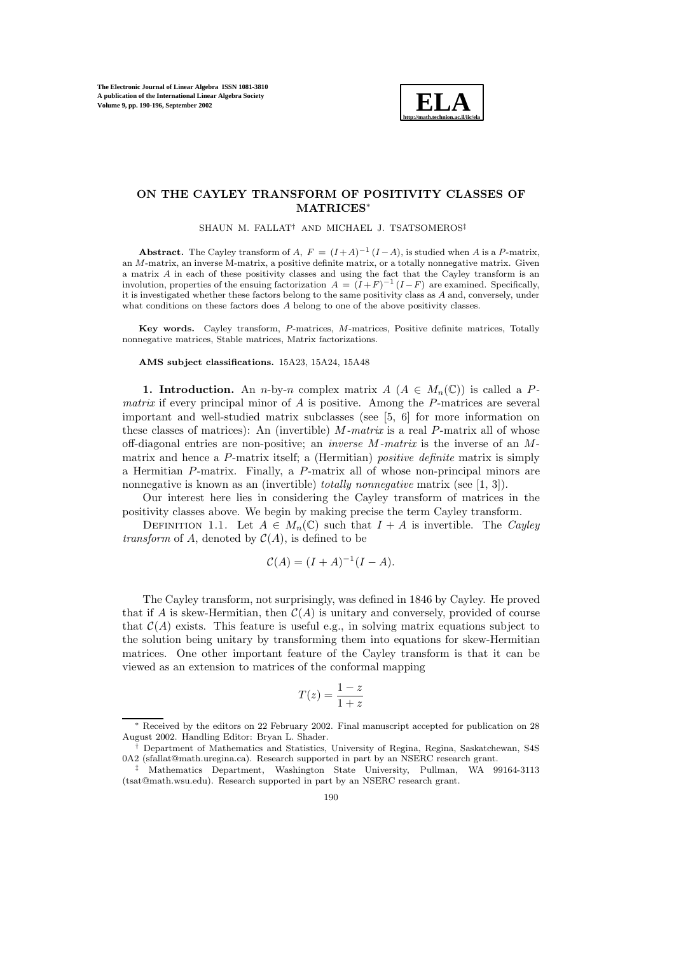

## **ON THE CAYLEY TRANSFORM OF POSITIVITY CLASSES OF MATRICES**<sup>∗</sup>

SHAUN M. FALLAT† AND MICHAEL J. TSATSOMEROS‡

**Abstract.** The Cayley transform of A,  $F = (I + A)^{-1} (I - A)$ , is studied when A is a P-matrix, an M-matrix, an inverse M-matrix, a positive definite matrix, or a totally nonnegative matrix. Given a matrix A in each of these positivity classes and using the fact that the Cayley transform is an involution, properties of the ensuing factorization  $A = (I + F)^{-1} (I - F)$  are examined. Specifically, it is investigated whether these factors belong to the same positivity class as A and, conversely, under what conditions on these factors does A belong to one of the above positivity classes.

**Key words.** Cayley transform, P-matrices, M-matrices, Positive definite matrices, Totally nonnegative matrices, Stable matrices, Matrix factorizations.

## **AMS subject classifications.** 15A23, 15A24, 15A48

**1. Introduction.** An *n*-by-*n* complex matrix  $A(A \in M_n(\mathbb{C}))$  is called a *Pmatrix* if every principal minor of A is positive. Among the P-matrices are several important and well-studied matrix subclasses (see  $[5, 6]$  for more information on these classes of matrices): An (invertible) M*-matrix* is a real P-matrix all of whose off-diagonal entries are non-positive; an *inverse* M*-matrix* is the inverse of an Mmatrix and hence a P-matrix itself; a (Hermitian) *positive definite* matrix is simply a Hermitian P-matrix. Finally, a P-matrix all of whose non-principal minors are nonnegative is known as an (invertible) *totally nonnegative* matrix (see [1, 3]).

Our interest here lies in considering the Cayley transform of matrices in the positivity classes above. We begin by making precise the term Cayley transform.

DEFINITION 1.1. Let  $A \in M_n(\mathbb{C})$  such that  $I + A$  is invertible. The *Cayley transform* of A, denoted by  $C(A)$ , is defined to be

$$
\mathcal{C}(A) = (I + A)^{-1}(I - A).
$$

The Cayley transform, not surprisingly, was defined in 1846 by Cayley. He proved that if A is skew-Hermitian, then  $\mathcal{C}(A)$  is unitary and conversely, provided of course that  $\mathcal{C}(A)$  exists. This feature is useful e.g., in solving matrix equations subject to the solution being unitary by transforming them into equations for skew-Hermitian matrices. One other important feature of the Cayley transform is that it can be viewed as an extension to matrices of the conformal mapping

$$
T(z) = \frac{1-z}{1+z}
$$

<sup>∗</sup> Received by the editors on 22 February 2002. Final manuscript accepted for publication on 28 August 2002. Handling Editor: Bryan L. Shader.

<sup>†</sup> Department of Mathematics and Statistics, University of Regina, Regina, Saskatchewan, S4S 0A2 (sfallat@math.uregina.ca). Research supported in part by an NSERC research grant.

Mathematics Department, Washington State University, Pullman, WA 99164-3113 (tsat@math.wsu.edu). Research supported in part by an NSERC research grant.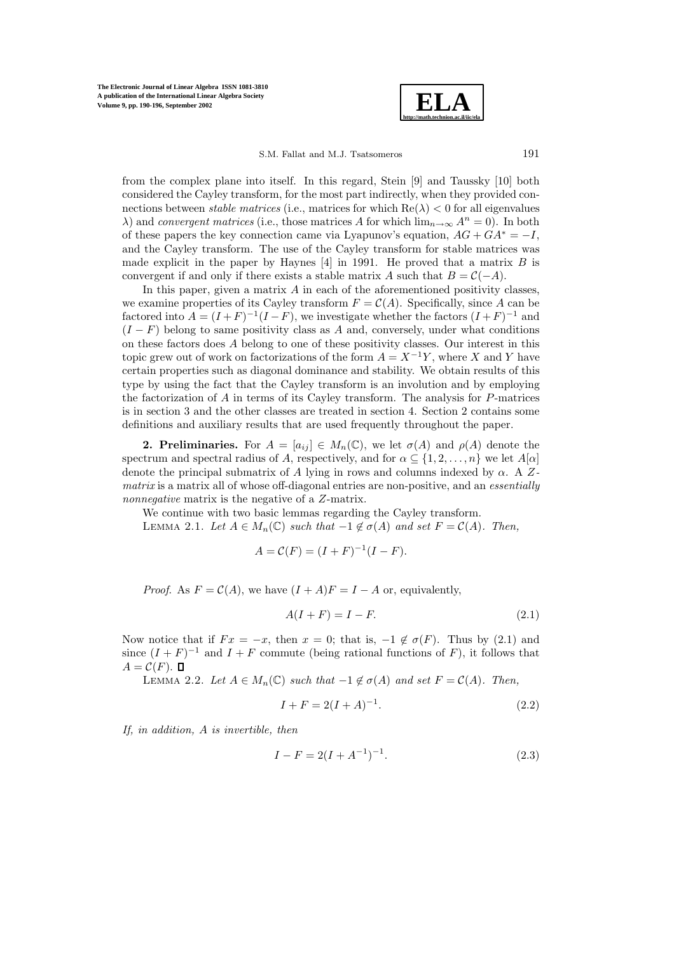**The Electronic Journal of Linear Algebra ISSN 1081-3810 A publication of the International Linear Algebra Society Volume 9, pp. 190-196, September 2002**



S.M. Fallat and M.J. Tsatsomeros 191

from the complex plane into itself. In this regard, Stein  $[9]$  and Taussky  $[10]$  both considered the Cayley transform, for the most part indirectly, when they provided connections between *stable matrices* (i.e., matrices for which  $Re(\lambda) < 0$  for all eigenvalues  $\lambda$ ) and *convergent matrices* (i.e., those matrices A for which  $\lim_{n\to\infty} A^n = 0$ ). In both of these papers the key connection came via Lyapunov's equation,  $AG + GA^* = -I$ , and the Cayley transform. The use of the Cayley transform for stable matrices was made explicit in the paper by Haynes  $[4]$  in 1991. He proved that a matrix B is convergent if and only if there exists a stable matrix A such that  $B = C(-A)$ .

In this paper, given a matrix  $A$  in each of the aforementioned positivity classes, we examine properties of its Cayley transform  $F = \mathcal{C}(A)$ . Specifically, since A can be factored into  $A = (I + F)^{-1}(I - F)$ , we investigate whether the factors  $(I + F)^{-1}$  and  $(I - F)$  belong to same positivity class as A and, conversely, under what conditions on these factors does A belong to one of these positivity classes. Our interest in this topic grew out of work on factorizations of the form  $A = X^{-1}Y$ , where X and Y have certain properties such as diagonal dominance and stability. We obtain results of this type by using the fact that the Cayley transform is an involution and by employing the factorization of  $A$  in terms of its Cayley transform. The analysis for  $P$ -matrices is in section 3 and the other classes are treated in section 4. Section 2 contains some definitions and auxiliary results that are used frequently throughout the paper.

**2. Preliminaries.** For  $A = [a_{ij}] \in M_n(\mathbb{C})$ , we let  $\sigma(A)$  and  $\rho(A)$  denote the spectrum and spectral radius of A, respectively, and for  $\alpha \subseteq \{1, 2, ..., n\}$  we let  $A[\alpha]$ denote the principal submatrix of A lying in rows and columns indexed by α. A Z*matrix* is a matrix all of whose off-diagonal entries are non-positive, and an *essentially nonnegative* matrix is the negative of a Z-matrix.

We continue with two basic lemmas regarding the Cayley transform.

LEMMA 2.1. Let  $A \in M_n(\mathbb{C})$  *such that*  $-1 \notin \sigma(A)$  *and set*  $F = C(A)$ *. Then,* 

$$
A = C(F) = (I + F)^{-1}(I - F).
$$

*Proof.* As  $F = \mathcal{C}(A)$ , we have  $(I + A)F = I - A$  or, equivalently,

$$
A(I+F) = I - F.\t\t(2.1)
$$

Now notice that if  $Fx = -x$ , then  $x = 0$ ; that is,  $-1 \notin \sigma(F)$ . Thus by (2.1) and since  $(I + F)^{-1}$  and  $I + F$  commute (being rational functions of F), it follows that  $A = \mathcal{C}(F)$ .

LEMMA 2.2. *Let*  $A ∈ M_n(\mathbb{C})$  *such that*  $-1 \notin σ(A)$  *and set*  $F = C(A)$ *. Then,* 

$$
I + F = 2(I + A)^{-1}.
$$
\n(2.2)

*If, in addition,* A *is invertible, then*

$$
I - F = 2(I + A^{-1})^{-1}.
$$
\n(2.3)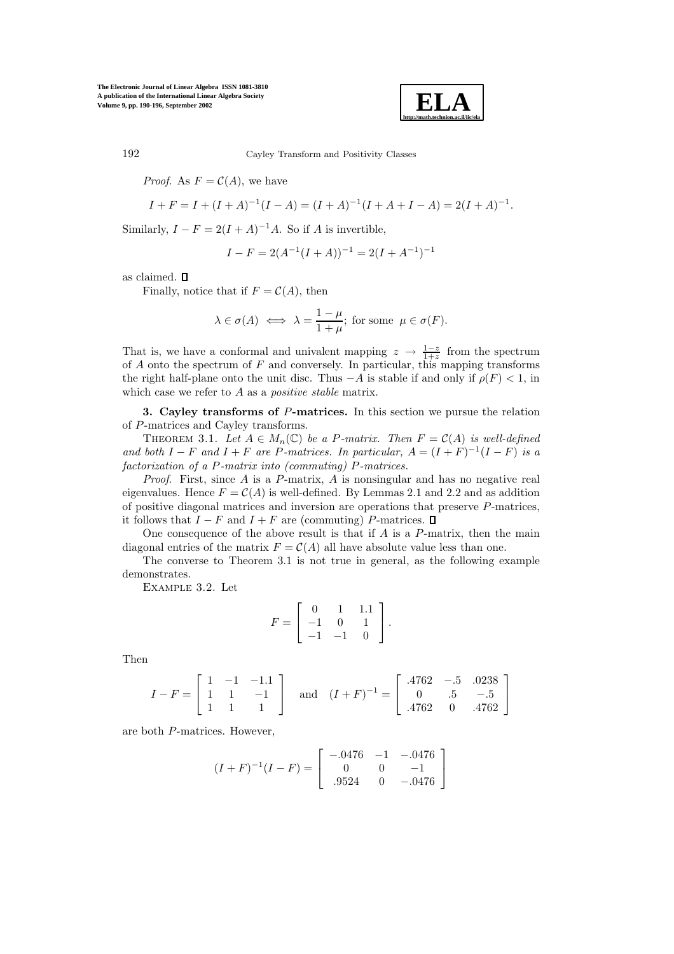**The Electronic Journal of Linear Algebra ISSN 1081-3810 A publication of the International Linear Algebra Society Volume 9, pp. 190-196, September 2002**



192 Cayley Transform and Positivity Classes

*Proof.* As  $F = \mathcal{C}(A)$ , we have

$$
I + F = I + (I + A)^{-1}(I - A) = (I + A)^{-1}(I + A + I - A) = 2(I + A)^{-1}.
$$

Similarly,  $I - F = 2(I + A)^{-1}A$ . So if A is invertible,

$$
I - F = 2(A^{-1}(I + A))^{-1} = 2(I + A^{-1})^{-1}
$$

as claimed.  $\Box$ 

Finally, notice that if  $F = \mathcal{C}(A)$ , then

$$
\lambda \in \sigma(A) \iff \lambda = \frac{1-\mu}{1+\mu}
$$
; for some  $\mu \in \sigma(F)$ .

That is, we have a conformal and univalent mapping  $z \to \frac{1-z}{1+z}$  from the spectrum of  $A$  onto the spectrum of  $F$  and conversely. In particular, this mapping transforms the right half-plane onto the unit disc. Thus  $-A$  is stable if and only if  $\rho(F) < 1$ , in which case we refer to A as a *positive stable* matrix.

**3. Cayley transforms of** P**-matrices.** In this section we pursue the relation of P-matrices and Cayley transforms.

THEOREM 3.1. Let  $A \in M_n(\mathbb{C})$  be a P-matrix. Then  $F = C(A)$  is well-defined *and both*  $I - F$  *and*  $I + F$  *are* P-matrices. In particular,  $A = (I + F)^{-1}(I - F)$  *is a factorization of a* P*-matrix into (commuting)* P*-matrices.*

*Proof*. First, since A is a P-matrix, A is nonsingular and has no negative real eigenvalues. Hence  $F = \mathcal{C}(A)$  is well-defined. By Lemmas 2.1 and 2.2 and as addition of positive diagonal matrices and inversion are operations that preserve P-matrices, it follows that  $I - F$  and  $I + F$  are (commuting) P-matrices.  $\Box$ 

One consequence of the above result is that if  $A$  is a  $P$ -matrix, then the main diagonal entries of the matrix  $F = \mathcal{C}(A)$  all have absolute value less than one.

The converse to Theorem 3.1 is not true in general, as the following example demonstrates.

Example 3.2. Let

$$
F = \left[ \begin{array}{rrr} 0 & 1 & 1.1 \\ -1 & 0 & 1 \\ -1 & -1 & 0 \end{array} \right].
$$

Then

$$
I - F = \begin{bmatrix} 1 & -1 & -1.1 \\ 1 & 1 & -1 \\ 1 & 1 & 1 \end{bmatrix} \text{ and } (I + F)^{-1} = \begin{bmatrix} .4762 & -.5 & .0238 \\ 0 & .5 & -.5 \\ .4762 & 0 & .4762 \end{bmatrix}
$$

are both P-matrices. However,

$$
(I+F)^{-1}(I-F) = \begin{bmatrix} -.0476 & -1 & -.0476 \\ 0 & 0 & -1 \\ .9524 & 0 & -.0476 \end{bmatrix}
$$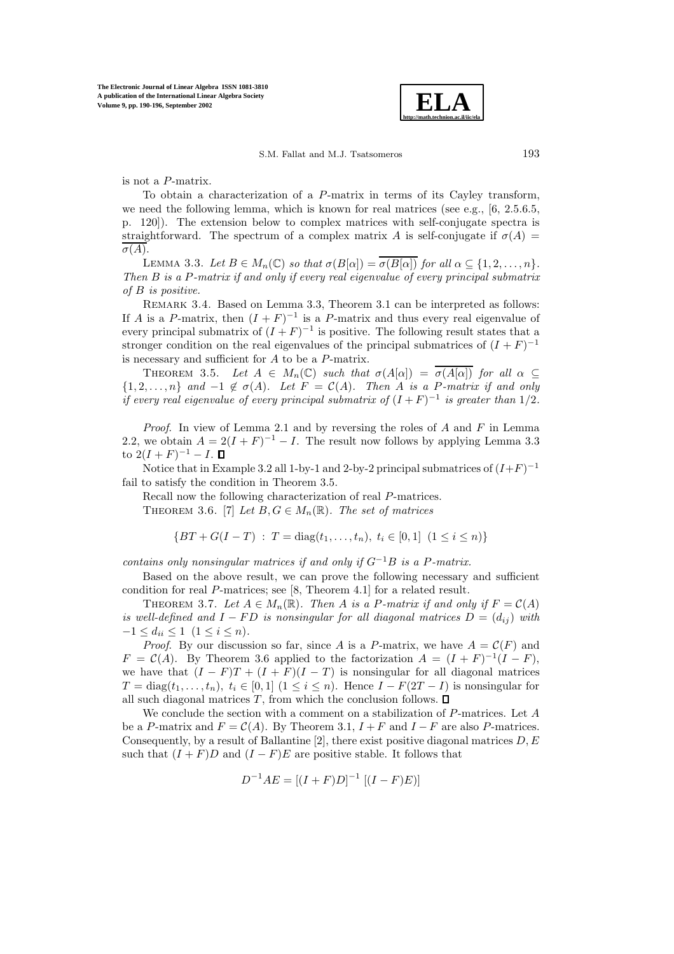

S.M. Fallat and M.J. Tsatsomeros 193

is not a P-matrix.

To obtain a characterization of a P-matrix in terms of its Cayley transform, we need the following lemma, which is known for real matrices (see e.g., [6, 2.5.6.5, p. 120]). The extension below to complex matrices with self-conjugate spectra is straightforward. The spectrum of a complex matrix A is self-conjugate if  $\sigma(A)$  =  $\sigma(A)$ .

LEMMA 3.3. Let  $B \in M_n(\mathbb{C})$  so that  $\sigma(B[\alpha]) = \overline{\sigma(B[\alpha])}$  for all  $\alpha \subset \{1, 2, ..., n\}$ . *Then* B *is a* P*-matrix if and only if every real eigenvalue of every principal submatrix of* B *is positive.*

REMARK 3.4. Based on Lemma 3.3, Theorem 3.1 can be interpreted as follows: If A is a P-matrix, then  $(I + F)^{-1}$  is a P-matrix and thus every real eigenvalue of every principal submatrix of  $(I + F)^{-1}$  is positive. The following result states that a stronger condition on the real eigenvalues of the principal submatrices of  $(I + F)^{-1}$ is necessary and sufficient for A to be a P-matrix.

THEOREM 3.5. Let  $A \in M_n(\mathbb{C})$  *such that*  $\sigma(A[\alpha]) = \overline{\sigma(A[\alpha])}$  *for all*  $\alpha \subseteq$  ${1, 2, \ldots, n}$  *and*  $-1 \notin \sigma(A)$ *. Let*  $F = C(A)$ *. Then* A *is a P-matrix if and only if every real eigenvalue of every principal submatrix of*  $(I + F)^{-1}$  *is greater than* 1/2*.* 

*Proof*. In view of Lemma 2.1 and by reversing the roles of A and F in Lemma 2.2, we obtain  $A = 2(I + F)^{-1} - I$ . The result now follows by applying Lemma 3.3 to  $2(I + F)^{-1} - I$ . **O** 

Notice that in Example 3.2 all 1-by-1 and 2-by-2 principal submatrices of  $(I+F)^{-1}$ fail to satisfy the condition in Theorem 3.5.

Recall now the following characterization of real P-matrices. THEOREM 3.6. [7] *Let*  $B, G \in M_n(\mathbb{R})$ *. The set of matrices* 

$$
\{BT + G(I - T) : T = \text{diag}(t_1, \dots, t_n), \ t_i \in [0, 1] \ (1 \le i \le n)\}
$$

*contains only nonsingular matrices if and only if*  $G^{-1}B$  *is a P-matrix.* 

Based on the above result, we can prove the following necessary and sufficient condition for real  $P$ -matrices; see [8, Theorem 4.1] for a related result.

THEOREM 3.7. Let  $A \in M_n(\mathbb{R})$ . Then A is a P-matrix if and only if  $F = \mathcal{C}(A)$ *is well-defined and*  $I - FD$  *is nonsingular for all diagonal matrices*  $D = (d_{ij})$  *with*  $-1 \leq d_{ii} \leq 1 \ \ (1 \leq i \leq n).$ 

*Proof.* By our discussion so far, since A is a P-matrix, we have  $A = \mathcal{C}(F)$  and  $F = \mathcal{C}(A)$ . By Theorem 3.6 applied to the factorization  $A = (I + F)^{-1}(I - F)$ , we have that  $(I - F)T + (I + F)(I - T)$  is nonsingular for all diagonal matrices  $T = \text{diag}(t_1,\ldots,t_n), t_i \in [0,1]$   $(1 \leq i \leq n)$ . Hence  $I - F(2T - I)$  is nonsingular for all such diagonal matrices  $T$ , from which the conclusion follows.  $\square$ 

We conclude the section with a comment on a stabilization of P-matrices. Let A be a P-matrix and  $F = \mathcal{C}(A)$ . By Theorem 3.1,  $I + F$  and  $I - F$  are also P-matrices. Consequently, by a result of Ballantine [2], there exist positive diagonal matrices  $D, E$ such that  $(I + F)D$  and  $(I - F)E$  are positive stable. It follows that

$$
D^{-1}AE = [(I + F)D]^{-1} [(I - F)E]
$$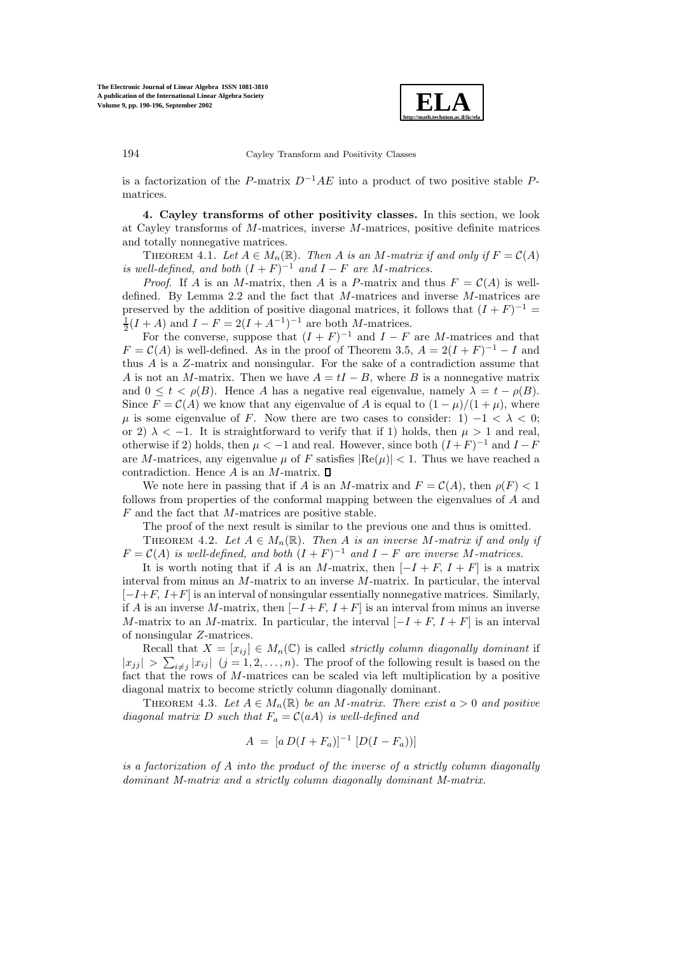

194 Cayley Transform and Positivity Classes

is a factorization of the P-matrix  $D^{-1}AE$  into a product of two positive stable Pmatrices.

**4. Cayley transforms of other positivity classes.** In this section, we look at Cayley transforms of M-matrices, inverse M-matrices, positive definite matrices and totally nonnegative matrices.

THEOREM 4.1. Let  $A \in M_n(\mathbb{R})$ . Then A is an M-matrix if and only if  $F = \mathcal{C}(A)$ *is well-defined, and both*  $(I + F)^{-1}$  *and*  $I - F$  *are M*-matrices.

*Proof.* If A is an M-matrix, then A is a P-matrix and thus  $F = \mathcal{C}(A)$  is welldefined. By Lemma 2.2 and the fact that M-matrices and inverse M-matrices are preserved by the addition of positive diagonal matrices, it follows that  $(I + F)^{-1}$  $\frac{1}{2}(I + A)$  and  $I - F = 2(I + A^{-1})^{-1}$  are both *M*-matrices.

For the converse, suppose that  $(I + F)^{-1}$  and  $I - F$  are M-matrices and that  $F = \mathcal{C}(A)$  is well-defined. As in the proof of Theorem 3.5,  $A = 2(I + F)^{-1} - I$  and thus A is a Z-matrix and nonsingular. For the sake of a contradiction assume that A is not an M-matrix. Then we have  $A = tI - B$ , where B is a nonnegative matrix and  $0 \leq t \leq \rho(B)$ . Hence A has a negative real eigenvalue, namely  $\lambda = t - \rho(B)$ . Since  $F = \mathcal{C}(A)$  we know that any eigenvalue of A is equal to  $(1 - \mu)/(1 + \mu)$ , where  $\mu$  is some eigenvalue of F. Now there are two cases to consider: 1)  $-1 < \lambda < 0$ ; or 2)  $\lambda < -1$ . It is straightforward to verify that if 1) holds, then  $\mu > 1$  and real, otherwise if 2) holds, then  $\mu < -1$  and real. However, since both  $(I + F)^{-1}$  and  $I - F$ are M-matrices, any eigenvalue  $\mu$  of F satisfies  $\text{Re}(\mu)| < 1$ . Thus we have reached a contradiction. Hence  $A$  is an M-matrix.  $\square$ 

We note here in passing that if A is an M-matrix and  $F = \mathcal{C}(A)$ , then  $\rho(F) < 1$ follows from properties of the conformal mapping between the eigenvalues of A and F and the fact that M-matrices are positive stable.

The proof of the next result is similar to the previous one and thus is omitted.

THEOREM 4.2. Let  $A \in M_n(\mathbb{R})$ . Then A is an inverse M-matrix if and only if  $F = \mathcal{C}(A)$  *is well-defined, and both*  $(I + F)^{-1}$  *and*  $I - F$  *are inverse* M-matrices.

It is worth noting that if A is an M-matrix, then  $[-I + F, I + F]$  is a matrix interval from minus an M-matrix to an inverse M-matrix. In particular, the interval  $[-I+F, I+F]$  is an interval of nonsingular essentially nonnegative matrices. Similarly, if A is an inverse M-matrix, then  $[-I + F, I + F]$  is an interval from minus an inverse M-matrix to an M-matrix. In particular, the interval  $[-I + F, I + F]$  is an interval of nonsingular Z-matrices.

Recall that  $X = [x_{ij}] \in M_n(\mathbb{C})$  is called *strictly column diagonally dominant* if  $|x_{jj}| > \sum_{i \neq j} |x_{ij}|$   $(j = 1, 2, ..., n)$ . The proof of the following result is based on the fact that the rows of M-matrices can be scaled via left multiplication by a positive diagonal matrix to become strictly column diagonally dominant.

THEOREM 4.3. Let  $A \in M_n(\mathbb{R})$  be an M-matrix. There exist  $a > 0$  and positive *diagonal matrix* D *such that*  $F_a = C(aA)$  *is well-defined and* 

$$
A = [a D(I + F_a)]^{-1} [D(I - F_a))]
$$

*is a factorization of* A *into the product of the inverse of a strictly column diagonally dominant M-matrix and a strictly column diagonally dominant M-matrix.*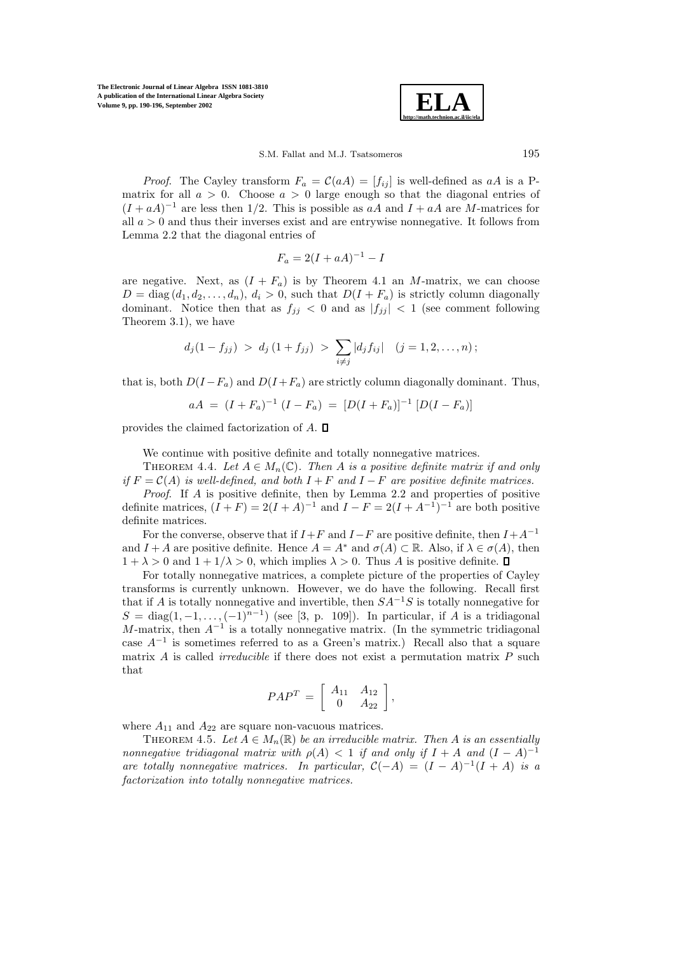**The Electronic Journal of Linear Algebra ISSN 1081-3810 A publication of the International Linear Algebra Society Volume 9, pp. 190-196, September 2002**



*Proof.* The Cayley transform  $F_a = C(aA) = [f_{ij}]$  is well-defined as aA is a Pmatrix for all  $a > 0$ . Choose  $a > 0$  large enough so that the diagonal entries of  $(I + aA)^{-1}$  are less then 1/2. This is possible as aA and  $I + aA$  are M-matrices for all  $a > 0$  and thus their inverses exist and are entrywise nonnegative. It follows from Lemma 2.2 that the diagonal entries of

$$
F_a = 2(I + aA)^{-1} - I
$$

are negative. Next, as  $(I + F_a)$  is by Theorem 4.1 an M-matrix, we can choose  $D = \text{diag}(d_1, d_2, \ldots, d_n), d_i > 0$ , such that  $D(I + F_a)$  is strictly column diagonally dominant. Notice then that as  $f_{jj} < 0$  and as  $|f_{jj}| < 1$  (see comment following Theorem 3.1), we have

$$
d_j(1 - f_{jj}) > d_j(1 + f_{jj}) > \sum_{i \neq j} |d_j f_{ij}|
$$
  $(j = 1, 2, ..., n);$ 

that is, both  $D(I - F_a)$  and  $D(I + F_a)$  are strictly column diagonally dominant. Thus,

$$
aA = (I + F_a)^{-1} (I - F_a) = [D(I + F_a)]^{-1} [D(I - F_a)]
$$

provides the claimed factorization of  $A$ .  $\square$ 

We continue with positive definite and totally nonnegative matrices.

THEOREM 4.4. Let  $A \in M_n(\mathbb{C})$ . Then A is a positive definite matrix if and only *if*  $F = C(A)$  *is well-defined, and both*  $I + F$  *and*  $I - F$  *are positive definite matrices.* 

*Proof*. If A is positive definite, then by Lemma 2.2 and properties of positive definite matrices,  $(I + F) = 2(I + A)^{-1}$  and  $I - F = 2(I + A^{-1})^{-1}$  are both positive definite matrices.

For the converse, observe that if  $I+F$  and  $I-F$  are positive definite, then  $I+A^{-1}$ and  $I + A$  are positive definite. Hence  $A = A^*$  and  $\sigma(A) \subset \mathbb{R}$ . Also, if  $\lambda \in \sigma(A)$ , then  $1 + \lambda > 0$  and  $1 + 1/\lambda > 0$ , which implies  $\lambda > 0$ . Thus A is positive definite.  $\Box$ 

For totally nonnegative matrices, a complete picture of the properties of Cayley transforms is currently unknown. However, we do have the following. Recall first that if A is totally nonnegative and invertible, then  $SA^{-1}S$  is totally nonnegative for  $S = \text{diag}(1, -1, \ldots, (-1)^{n-1})$  (see [3, p. 109]). In particular, if A is a tridiagonal M-matrix, then  $A^{-1}$  is a totally nonnegative matrix. (In the symmetric tridiagonal case  $A^{-1}$  is sometimes referred to as a Green's matrix.) Recall also that a square matrix A is called *irreducible* if there does not exist a permutation matrix P such that

$$
PAP^T = \left[ \begin{array}{cc} A_{11} & A_{12} \\ 0 & A_{22} \end{array} \right],
$$

where  $A_{11}$  and  $A_{22}$  are square non-vacuous matrices.

THEOREM 4.5. Let  $A \in M_n(\mathbb{R})$  be an irreducible matrix. Then A is an essentially *nonnegative tridiagonal matrix with*  $\rho(A) < 1$  *if and only if*  $I + A$  *and*  $(I - A)^{-1}$ *are totally nonnegative matrices. In particular,*  $C(-A) = (I - A)^{-1}(I + A)$  *is a factorization into totally nonnegative matrices.*